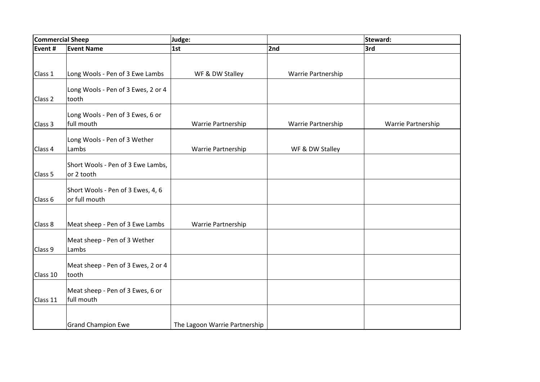| Commercial Sheep |                                                    | Judge:                        | Steward:           |                    |  |
|------------------|----------------------------------------------------|-------------------------------|--------------------|--------------------|--|
| Event #          | <b>Event Name</b>                                  | 1st                           | 2nd                | 3rd                |  |
|                  |                                                    |                               |                    |                    |  |
| Class 1          | Long Wools - Pen of 3 Ewe Lambs                    | WF & DW Stalley               | Warrie Partnership |                    |  |
| Class 2          | Long Wools - Pen of 3 Ewes, 2 or 4<br>tooth        |                               |                    |                    |  |
| Class 3          | Long Wools - Pen of 3 Ewes, 6 or<br>full mouth     | Warrie Partnership            | Warrie Partnership | Warrie Partnership |  |
| Class 4          | Long Wools - Pen of 3 Wether<br>Lambs              | Warrie Partnership            | WF & DW Stalley    |                    |  |
| Class 5          | Short Wools - Pen of 3 Ewe Lambs,<br>or 2 tooth    |                               |                    |                    |  |
| Class 6          | Short Wools - Pen of 3 Ewes, 4, 6<br>or full mouth |                               |                    |                    |  |
| Class 8          | Meat sheep - Pen of 3 Ewe Lambs                    | Warrie Partnership            |                    |                    |  |
| Class 9          | Meat sheep - Pen of 3 Wether<br>Lambs              |                               |                    |                    |  |
| Class 10         | Meat sheep - Pen of 3 Ewes, 2 or 4<br>tooth        |                               |                    |                    |  |
| Class 11         | Meat sheep - Pen of 3 Ewes, 6 or<br>full mouth     |                               |                    |                    |  |
|                  | <b>Grand Champion Ewe</b>                          | The Lagoon Warrie Partnership |                    |                    |  |